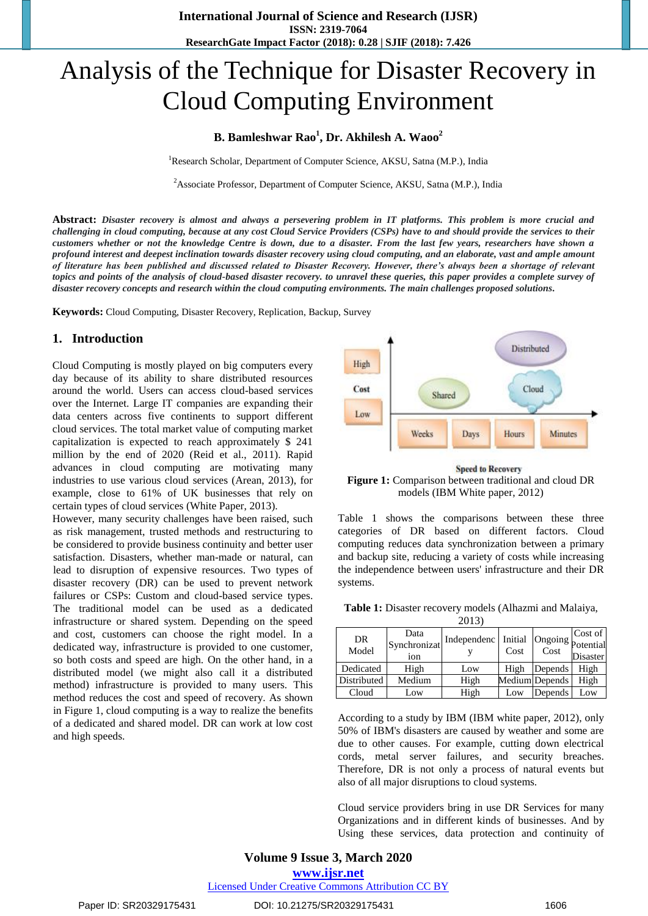# Analysis of the Technique for Disaster Recovery in Cloud Computing Environment

## **B. Bamleshwar Rao<sup>1</sup> , Dr. Akhilesh A. Waoo<sup>2</sup>**

<sup>1</sup>Research Scholar, Department of Computer Science, AKSU, Satna (M.P.), India

<sup>2</sup> Associate Professor, Department of Computer Science, AKSU, Satna (M.P.), India

**Abstract:** *Disaster recovery is almost and always a persevering problem in IT platforms. This problem is more crucial and challenging in cloud computing, because at any cost Cloud Service Providers (CSPs) have to and should provide the services to their customers whether or not the knowledge Centre is down, due to a disaster. From the last few years, researchers have shown a profound interest and deepest inclination towards disaster recovery using cloud computing, and an elaborate, vast and ample amount of literature has been published and discussed related to Disaster Recovery. However, there's always been a shortage of relevant topics and points of the analysis of cloud-based disaster recovery. to unravel these queries, this paper provides a complete survey of disaster recovery concepts and research within the cloud computing environments. The main challenges proposed solutions.*

**Keywords:** Cloud Computing, Disaster Recovery, Replication, Backup, Survey

#### **1. Introduction**

Cloud Computing is mostly played on big computers every day because of its ability to share distributed resources around the world. Users can access cloud-based services over the Internet. Large IT companies are expanding their data centers across five continents to support different cloud services. The total market value of computing market capitalization is expected to reach approximately \$ 241 million by the end of 2020 (Reid et al., 2011). Rapid advances in cloud computing are motivating many industries to use various cloud services (Arean, 2013), for example, close to 61% of UK businesses that rely on certain types of cloud services (White Paper, 2013).

However, many security challenges have been raised, such as risk management, trusted methods and restructuring to be considered to provide business continuity and better user satisfaction. Disasters, whether man-made or natural, can lead to disruption of expensive resources. Two types of disaster recovery (DR) can be used to prevent network failures or CSPs: Custom and cloud-based service types. The traditional model can be used as a dedicated infrastructure or shared system. Depending on the speed and cost, customers can choose the right model. In a dedicated way, infrastructure is provided to one customer, so both costs and speed are high. On the other hand, in a distributed model (we might also call it a distributed method) infrastructure is provided to many users. This method reduces the cost and speed of recovery. As shown in Figure 1, cloud computing is a way to realize the benefits of a dedicated and shared model. DR can work at low cost and high speeds.



**Speed to Recovery Figure 1:** Comparison between traditional and cloud DR models (IBM White paper, 2012)

Table 1 shows the comparisons between these three categories of DR based on different factors. Cloud computing reduces data synchronization between a primary and backup site, reducing a variety of costs while increasing the independence between users' infrastructure and their DR systems.

| Table 1: Disaster recovery models (Alhazmi and Malaiya, |           |  |
|---------------------------------------------------------|-----------|--|
|                                                         | $\bigcap$ |  |

| 2013)       |                                         |             |                 |                           |                     |
|-------------|-----------------------------------------|-------------|-----------------|---------------------------|---------------------|
| DR<br>Model | Data<br>Synchronizat<br>10 <sub>n</sub> | Independenc | Initial<br>Cost | Ongoing potential<br>Cost | Cost of<br>Disaster |
| Dedicated   | High                                    | Low         | High            | Depends                   | High                |
| Distributed | Medium                                  | High        |                 | Medium Depends            | High                |
| Cloud       | Low                                     | High        | Low             | Depends                   | Low                 |

According to a study by IBM (IBM white paper, 2012), only 50% of IBM's disasters are caused by weather and some are due to other causes. For example, cutting down electrical cords, metal server failures, and security breaches. Therefore, DR is not only a process of natural events but also of all major disruptions to cloud systems.

Cloud service providers bring in use DR Services for many Organizations and in different kinds of businesses. And by Using these services, data protection and continuity of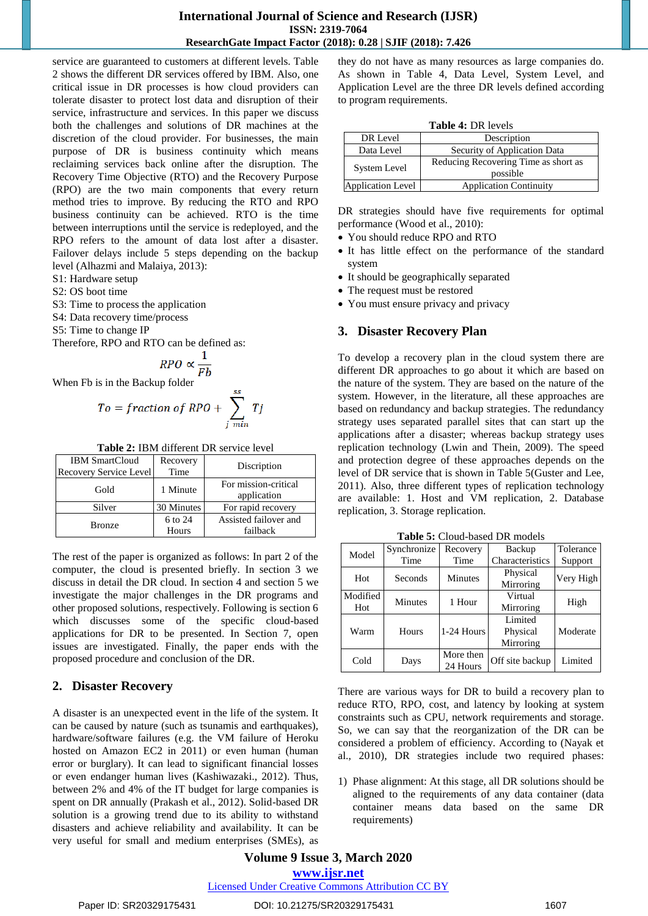## **International Journal of Science and Research (IJSR) ISSN: 2319-7064 ResearchGate Impact Factor (2018): 0.28 | SJIF (2018): 7.426**

service are guaranteed to customers at different levels. Table 2 shows the different DR services offered by IBM. Also, one critical issue in DR processes is how cloud providers can tolerate disaster to protect lost data and disruption of their service, infrastructure and services. In this paper we discuss both the challenges and solutions of DR machines at the discretion of the cloud provider. For businesses, the main purpose of DR is business continuity which means reclaiming services back online after the disruption. The Recovery Time Objective (RTO) and the Recovery Purpose (RPO) are the two main components that every return method tries to improve. By reducing the RTO and RPO business continuity can be achieved. RTO is the time between interruptions until the service is redeployed, and the RPO refers to the amount of data lost after a disaster. Failover delays include 5 steps depending on the backup level (Alhazmi and Malaiya, 2013):

S1: Hardware setup

S2: OS boot time

S3: Time to process the application

S4: Data recovery time/process

S5: Time to change IP

Therefore, RPO and RTO can be defined as:

$$
RPO \propto \frac{1}{Fh}
$$

When Fb is in the Backup folder

$$
To = fraction of RPO + \sum_{j \ min}^{50} Tj
$$

| <b>Table 2: IBM different DR service level</b> |  |
|------------------------------------------------|--|
|------------------------------------------------|--|

| <b>IBM SmartCloud</b>  | Recovery   | Discription                         |  |
|------------------------|------------|-------------------------------------|--|
| Recovery Service Level | Time       |                                     |  |
| Gold                   | 1 Minute   | For mission-critical<br>application |  |
| Silver                 | 30 Minutes | For rapid recovery                  |  |
| <b>Bronze</b>          | 6 to 24    | Assisted failover and               |  |
|                        | Hours      | failback                            |  |

The rest of the paper is organized as follows: In part 2 of the computer, the cloud is presented briefly. In section 3 we discuss in detail the DR cloud. In section 4 and section 5 we investigate the major challenges in the DR programs and other proposed solutions, respectively. Following is section 6 which discusses some of the specific cloud-based applications for DR to be presented. In Section 7, open issues are investigated. Finally, the paper ends with the proposed procedure and conclusion of the DR.

## **2. Disaster Recovery**

A disaster is an unexpected event in the life of the system. It can be caused by nature (such as tsunamis and earthquakes), hardware/software failures (e.g. the VM failure of Heroku hosted on Amazon EC2 in 2011) or even human (human error or burglary). It can lead to significant financial losses or even endanger human lives (Kashiwazaki., 2012). Thus, between 2% and 4% of the IT budget for large companies is spent on DR annually (Prakash et al., 2012). Solid-based DR solution is a growing trend due to its ability to withstand disasters and achieve reliability and availability. It can be very useful for small and medium enterprises (SMEs), as they do not have as many resources as large companies do. As shown in Table 4, Data Level, System Level, and Application Level are the three DR levels defined according to program requirements.

| <b>Table 4: DR levels</b> |
|---------------------------|
| Description               |

| DR Level                                   | Description                                      |  |
|--------------------------------------------|--------------------------------------------------|--|
| Security of Application Data<br>Data Level |                                                  |  |
| <b>System Level</b>                        | Reducing Recovering Time as short as<br>possible |  |
| Application Level                          | <b>Application Continuity</b>                    |  |

DR strategies should have five requirements for optimal performance (Wood et al., 2010):

- You should reduce RPO and RTO
- It has little effect on the performance of the standard system
- It should be geographically separated
- The request must be restored
- You must ensure privacy and privacy

## **3. Disaster Recovery Plan**

To develop a recovery plan in the cloud system there are different DR approaches to go about it which are based on the nature of the system. They are based on the nature of the system. However, in the literature, all these approaches are based on redundancy and backup strategies. The redundancy strategy uses separated parallel sites that can start up the applications after a disaster; whereas backup strategy uses replication technology (Lwin and Thein, 2009). The speed and protection degree of these approaches depends on the level of DR service that is shown in Table 5(Guster and Lee, 2011). Also, three different types of replication technology are available: 1. Host and VM replication, 2. Database replication, 3. Storage replication.

| Model           | Synchronize | Recovery              | Backup                           | Tolerance |
|-----------------|-------------|-----------------------|----------------------------------|-----------|
|                 | Time        | Time                  | Characteristics                  | Support   |
| Hot             | Seconds     | Minutes               | Physical<br>Mirroring            | Very High |
| Modified<br>Hot | Minutes     | 1 Hour                | Virtual<br>Mirroring             | High      |
| Warm            | Hours       | 1-24 Hours            | Limited<br>Physical<br>Mirroring | Moderate  |
| Cold            | Days        | More then<br>24 Hours | Off site backup                  | Limited   |

**Table 5:** Cloud-based DR models

There are various ways for DR to build a recovery plan to reduce RTO, RPO, cost, and latency by looking at system constraints such as CPU, network requirements and storage. So, we can say that the reorganization of the DR can be considered a problem of efficiency. According to (Nayak et al., 2010), DR strategies include two required phases:

1) Phase alignment: At this stage, all DR solutions should be aligned to the requirements of any data container (data container means data based on the same DR requirements)

# **Volume 9 Issue 3, March 2020**

**www.ijsr.net**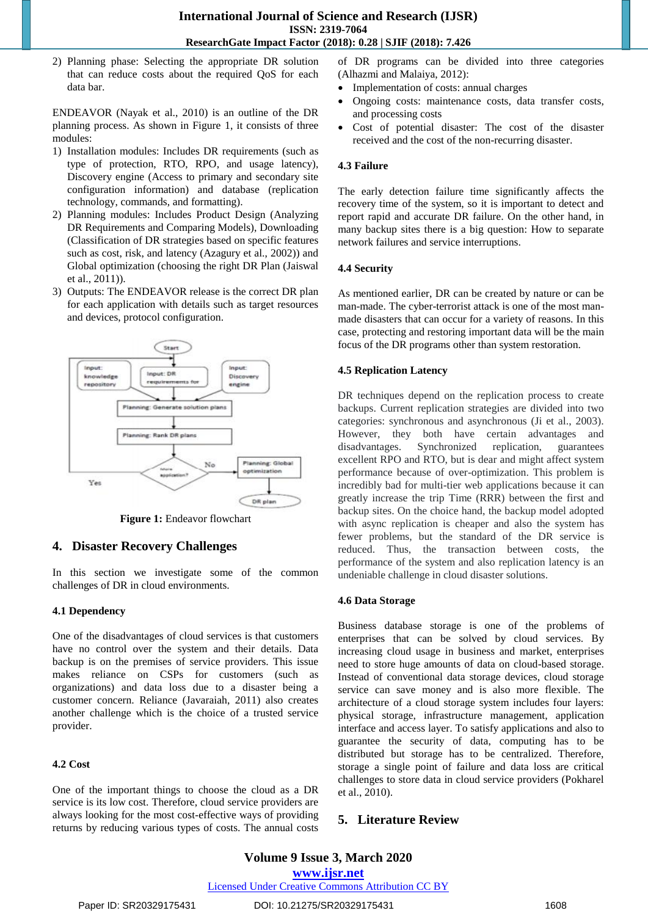2) Planning phase: Selecting the appropriate DR solution that can reduce costs about the required QoS for each data bar.

ENDEAVOR (Nayak et al., 2010) is an outline of the DR planning process. As shown in Figure 1, it consists of three modules:

- 1) Installation modules: Includes DR requirements (such as type of protection, RTO, RPO, and usage latency), Discovery engine (Access to primary and secondary site configuration information) and database (replication technology, commands, and formatting).
- 2) Planning modules: Includes Product Design (Analyzing DR Requirements and Comparing Models), Downloading (Classification of DR strategies based on specific features such as cost, risk, and latency (Azagury et al., 2002)) and Global optimization (choosing the right DR Plan (Jaiswal et al., 2011)).
- 3) Outputs: The ENDEAVOR release is the correct DR plan for each application with details such as target resources and devices, protocol configuration.



**Figure 1:** Endeavor flowchart

## **4. Disaster Recovery Challenges**

In this section we investigate some of the common challenges of DR in cloud environments.

#### **4.1 Dependency**

One of the disadvantages of cloud services is that customers have no control over the system and their details. Data backup is on the premises of service providers. This issue makes reliance on CSPs for customers (such as organizations) and data loss due to a disaster being a customer concern. Reliance (Javaraiah, 2011) also creates another challenge which is the choice of a trusted service provider.

#### **4.2 Cost**

One of the important things to choose the cloud as a DR service is its low cost. Therefore, cloud service providers are always looking for the most cost-effective ways of providing returns by reducing various types of costs. The annual costs of DR programs can be divided into three categories (Alhazmi and Malaiya, 2012):

- Implementation of costs: annual charges
- Ongoing costs: maintenance costs, data transfer costs, and processing costs
- Cost of potential disaster: The cost of the disaster received and the cost of the non-recurring disaster.

#### **4.3 Failure**

The early detection failure time significantly affects the recovery time of the system, so it is important to detect and report rapid and accurate DR failure. On the other hand, in many backup sites there is a big question: How to separate network failures and service interruptions.

## **4.4 Security**

As mentioned earlier, DR can be created by nature or can be man-made. The cyber-terrorist attack is one of the most manmade disasters that can occur for a variety of reasons. In this case, protecting and restoring important data will be the main focus of the DR programs other than system restoration.

## **4.5 Replication Latency**

DR techniques depend on the replication process to create backups. Current replication strategies are divided into two categories: synchronous and asynchronous (Ji et al., 2003). However, they both have certain advantages and disadvantages. Synchronized replication, guarantees excellent RPO and RTO, but is dear and might affect system performance because of over-optimization. This problem is incredibly bad for multi-tier web applications because it can greatly increase the trip Time (RRR) between the first and backup sites. On the choice hand, the backup model adopted with async replication is cheaper and also the system has fewer problems, but the standard of the DR service is reduced. Thus, the transaction between costs, the performance of the system and also replication latency is an undeniable challenge in cloud disaster solutions.

#### **4.6 Data Storage**

Business database storage is one of the problems of enterprises that can be solved by cloud services. By increasing cloud usage in business and market, enterprises need to store huge amounts of data on cloud-based storage. Instead of conventional data storage devices, cloud storage service can save money and is also more flexible. The architecture of a cloud storage system includes four layers: physical storage, infrastructure management, application interface and access layer. To satisfy applications and also to guarantee the security of data, computing has to be distributed but storage has to be centralized. Therefore, storage a single point of failure and data loss are critical challenges to store data in cloud service providers (Pokharel et al., 2010).

## **5. Literature Review**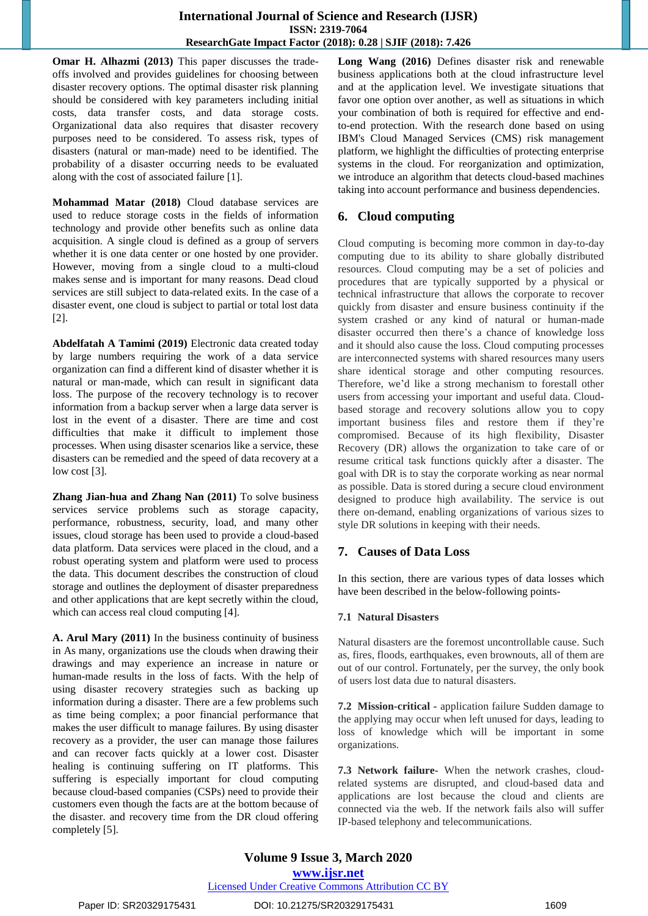**Omar H. Alhazmi (2013)** This paper discusses the tradeoffs involved and provides guidelines for choosing between disaster recovery options. The optimal disaster risk planning should be considered with key parameters including initial costs, data transfer costs, and data storage costs. Organizational data also requires that disaster recovery purposes need to be considered. To assess risk, types of disasters (natural or man-made) need to be identified. The probability of a disaster occurring needs to be evaluated along with the cost of associated failure [1].

**Mohammad Matar (2018)** Cloud database services are used to reduce storage costs in the fields of information technology and provide other benefits such as online data acquisition. A single cloud is defined as a group of servers whether it is one data center or one hosted by one provider. However, moving from a single cloud to a multi-cloud makes sense and is important for many reasons. Dead cloud services are still subject to data-related exits. In the case of a disaster event, one cloud is subject to partial or total lost data [2].

**Abdelfatah A Tamimi (2019)** Electronic data created today by large numbers requiring the work of a data service organization can find a different kind of disaster whether it is natural or man-made, which can result in significant data loss. The purpose of the recovery technology is to recover information from a backup server when a large data server is lost in the event of a disaster. There are time and cost difficulties that make it difficult to implement those processes. When using disaster scenarios like a service, these disasters can be remedied and the speed of data recovery at a low cost [3].

**Zhang Jian-hua and Zhang Nan (2011)** To solve business services service problems such as storage capacity, performance, robustness, security, load, and many other issues, cloud storage has been used to provide a cloud-based data platform. Data services were placed in the cloud, and a robust operating system and platform were used to process the data. This document describes the construction of cloud storage and outlines the deployment of disaster preparedness and other applications that are kept secretly within the cloud, which can access real cloud computing [4].

**A. Arul Mary (2011)** In the business continuity of business in As many, organizations use the clouds when drawing their drawings and may experience an increase in nature or human-made results in the loss of facts. With the help of using disaster recovery strategies such as backing up information during a disaster. There are a few problems such as time being complex; a poor financial performance that makes the user difficult to manage failures. By using disaster recovery as a provider, the user can manage those failures and can recover facts quickly at a lower cost. Disaster healing is continuing suffering on IT platforms. This suffering is especially important for cloud computing because cloud-based companies (CSPs) need to provide their customers even though the facts are at the bottom because of the disaster. and recovery time from the DR cloud offering completely [5].

**Long Wang (2016)** Defines disaster risk and renewable business applications both at the cloud infrastructure level and at the application level. We investigate situations that favor one option over another, as well as situations in which your combination of both is required for effective and endto-end protection. With the research done based on using IBM's Cloud Managed Services (CMS) risk management platform, we highlight the difficulties of protecting enterprise systems in the cloud. For reorganization and optimization, we introduce an algorithm that detects cloud-based machines taking into account performance and business dependencies.

## **6. Cloud computing**

Cloud computing is becoming more common in day-to-day computing due to its ability to share globally distributed resources. Cloud computing may be a set of policies and procedures that are typically supported by a physical or technical infrastructure that allows the corporate to recover quickly from disaster and ensure business continuity if the system crashed or any kind of natural or human-made disaster occurred then there's a chance of knowledge loss and it should also cause the loss. Cloud computing processes are interconnected systems with shared resources many users share identical storage and other computing resources. Therefore, we'd like a strong mechanism to forestall other users from accessing your important and useful data. Cloudbased storage and recovery solutions allow you to copy important business files and restore them if they're compromised. Because of its high flexibility, Disaster Recovery (DR) allows the organization to take care of or resume critical task functions quickly after a disaster. The goal with DR is to stay the corporate working as near normal as possible. Data is stored during a secure cloud environment designed to produce high availability. The service is out there on-demand, enabling organizations of various sizes to style DR solutions in keeping with their needs.

## **7. Causes of Data Loss**

In this section, there are various types of data losses which have been described in the below-following points-

## **7.1 Natural Disasters**

Natural disasters are the foremost uncontrollable cause. Such as, fires, floods, earthquakes, even brownouts, all of them are out of our control. Fortunately, per the survey, the only book of users lost data due to natural disasters.

**7.2 Mission-critical -** application failure Sudden damage to the applying may occur when left unused for days, leading to loss of knowledge which will be important in some organizations.

**7.3 Network failure-** When the network crashes, cloudrelated systems are disrupted, and cloud-based data and applications are lost because the cloud and clients are connected via the web. If the network fails also will suffer IP-based telephony and telecommunications.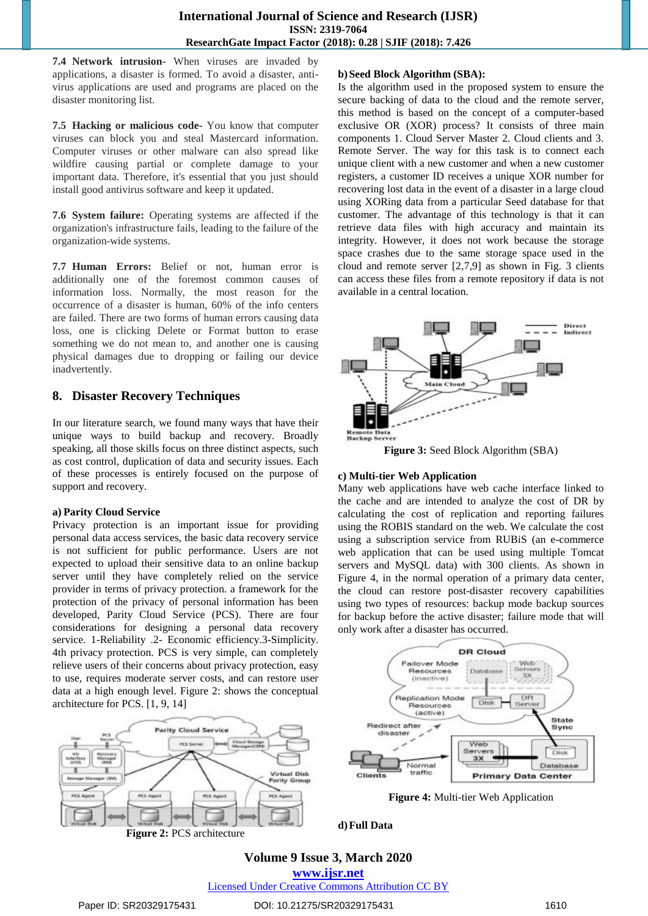**7.4 Network intrusion-** When viruses are invaded by applications, a disaster is formed. To avoid a disaster, antivirus applications are used and programs are placed on the disaster monitoring list.

**7.5 Hacking or malicious code-** You know that computer viruses can block you and steal Mastercard information. Computer viruses or other malware can also spread like wildfire causing partial or complete damage to your important data. Therefore, it's essential that you just should install good antivirus software and keep it updated.

**7.6 System failure:** Operating systems are affected if the organization's infrastructure fails, leading to the failure of the organization-wide systems.

**7.7 Human Errors:** Belief or not, human error is additionally one of the foremost common causes of information loss. Normally, the most reason for the occurrence of a disaster is human, 60% of the info centers are failed. There are two forms of human errors causing data loss, one is clicking Delete or Format button to erase something we do not mean to, and another one is causing physical damages due to dropping or failing our device inadvertently.

# **8. Disaster Recovery Techniques**

In our literature search, we found many ways that have their unique ways to build backup and recovery. Broadly speaking, all those skills focus on three distinct aspects, such as cost control, duplication of data and security issues. Each of these processes is entirely focused on the purpose of support and recovery.

## **a) Parity Cloud Service**

Privacy protection is an important issue for providing personal data access services, the basic data recovery service is not sufficient for public performance. Users are not expected to upload their sensitive data to an online backup server until they have completely relied on the service provider in terms of privacy protection. a framework for the protection of the privacy of personal information has been developed, Parity Cloud Service (PCS). There are four considerations for designing a personal data recovery service. 1-Reliability .2- Economic efficiency.3-Simplicity. 4th privacy protection. PCS is very simple, can completely relieve users of their concerns about privacy protection, easy to use, requires moderate server costs, and can restore user data at a high enough level. Figure 2: shows the conceptual architecture for PCS. [1, 9, 14]

## **b)Seed Block Algorithm (SBA):**

Is the algorithm used in the proposed system to ensure the secure backing of data to the cloud and the remote server, this method is based on the concept of a computer-based exclusive OR (XOR) process? It consists of three main components 1. Cloud Server Master 2. Cloud clients and 3. Remote Server. The way for this task is to connect each unique client with a new customer and when a new customer registers, a customer ID receives a unique XOR number for recovering lost data in the event of a disaster in a large cloud using XORing data from a particular Seed database for that customer. The advantage of this technology is that it can retrieve data files with high accuracy and maintain its integrity. However, it does not work because the storage space crashes due to the same storage space used in the cloud and remote server [2,7,9] as shown in Fig. 3 clients can access these files from a remote repository if data is not available in a central location.



**Figure 3:** Seed Block Algorithm (SBA)

## **c) Multi-tier Web Application**

Many web applications have web cache interface linked to the cache and are intended to analyze the cost of DR by calculating the cost of replication and reporting failures using the ROBIS standard on the web. We calculate the cost using a subscription service from RUBiS (an e-commerce web application that can be used using multiple Tomcat servers and MySQL data) with 300 clients. As shown in Figure 4, in the normal operation of a primary data center, the cloud can restore post-disaster recovery capabilities using two types of resources: backup mode backup sources for backup before the active disaster; failure mode that will only work after a disaster has occurred.

**DR Cloud** 

**Circlesfood** 

**Failover Mode** Resources



# **Volume 9 Issue 3, March 2020**

**www.ijsr.net**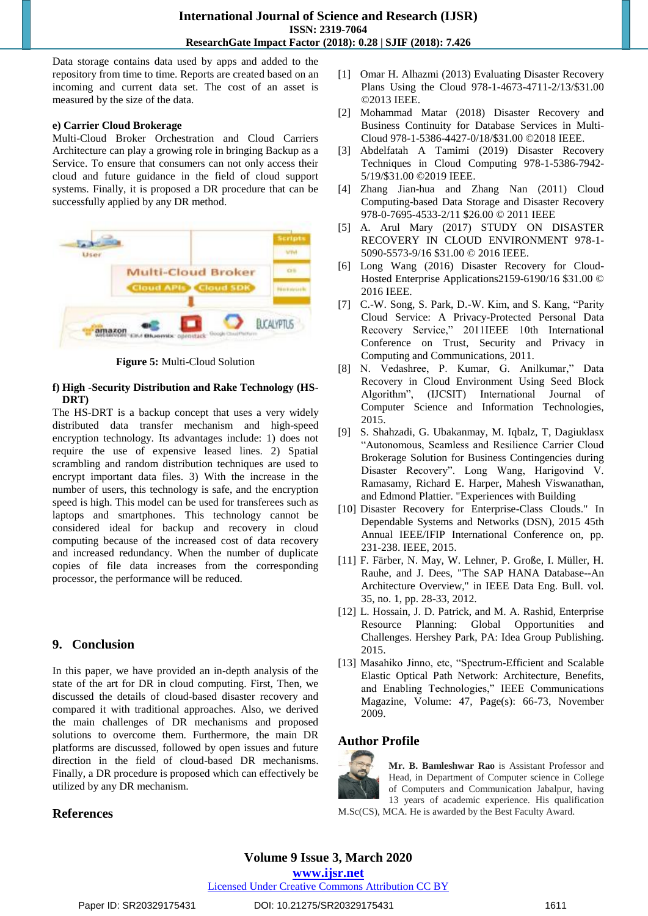Data storage contains data used by apps and added to the repository from time to time. Reports are created based on an incoming and current data set. The cost of an asset is measured by the size of the data.

#### **e) Carrier Cloud Brokerage**

Multi-Cloud Broker Orchestration and Cloud Carriers Architecture can play a growing role in bringing Backup as a Service. To ensure that consumers can not only access their cloud and future guidance in the field of cloud support systems. Finally, it is proposed a DR procedure that can be successfully applied by any DR method.



**Figure 5:** Multi-Cloud Solution

## **f) High -Security Distribution and Rake Technology (HS-DRT)**

The HS-DRT is a backup concept that uses a very widely distributed data transfer mechanism and high-speed encryption technology. Its advantages include: 1) does not require the use of expensive leased lines. 2) Spatial scrambling and random distribution techniques are used to encrypt important data files. 3) With the increase in the number of users, this technology is safe, and the encryption speed is high. This model can be used for transferees such as laptops and smartphones. This technology cannot be considered ideal for backup and recovery in cloud computing because of the increased cost of data recovery and increased redundancy. When the number of duplicate copies of file data increases from the corresponding processor, the performance will be reduced.

## **9. Conclusion**

In this paper, we have provided an in-depth analysis of the state of the art for DR in cloud computing. First, Then, we discussed the details of cloud-based disaster recovery and compared it with traditional approaches. Also, we derived the main challenges of DR mechanisms and proposed solutions to overcome them. Furthermore, the main DR platforms are discussed, followed by open issues and future direction in the field of cloud-based DR mechanisms. Finally, a DR procedure is proposed which can effectively be utilized by any DR mechanism.

- [1] Omar H. Alhazmi (2013) Evaluating Disaster Recovery Plans Using the Cloud 978-1-4673-4711-2/13/\$31.00 ©2013 IEEE.
- [2] Mohammad Matar (2018) Disaster Recovery and Business Continuity for Database Services in Multi-Cloud 978-1-5386-4427-0/18/\$31.00 ©2018 IEEE.
- [3] Abdelfatah A Tamimi (2019) Disaster Recovery Techniques in Cloud Computing 978-1-5386-7942- 5/19/\$31.00 ©2019 IEEE.
- [4] Zhang Jian-hua and Zhang Nan (2011) Cloud Computing-based Data Storage and Disaster Recovery 978-0-7695-4533-2/11 \$26.00 © 2011 IEEE
- [5] A. Arul Mary (2017) STUDY ON DISASTER RECOVERY IN CLOUD ENVIRONMENT 978-1- 5090-5573-9/16 \$31.00 © 2016 IEEE.
- [6] Long Wang (2016) Disaster Recovery for Cloud-Hosted Enterprise Applications2159-6190/16 \$31.00 © 2016 IEEE.
- [7] C.-W. Song, S. Park, D.-W. Kim, and S. Kang, "Parity Cloud Service: A Privacy-Protected Personal Data Recovery Service," 2011IEEE 10th International Conference on Trust, Security and Privacy in Computing and Communications, 2011.
- [8] N. Vedashree, P. Kumar, G. Anilkumar," Data Recovery in Cloud Environment Using Seed Block Algorithm", (IJCSIT) International Journal of Computer Science and Information Technologies, 2015.
- [9] S. Shahzadi, G. Ubakanmay, M. Iqbalz, T, Dagiuklasx "Autonomous, Seamless and Resilience Carrier Cloud Brokerage Solution for Business Contingencies during Disaster Recovery". Long Wang, Harigovind V. Ramasamy, Richard E. Harper, Mahesh Viswanathan, and Edmond Plattier. "Experiences with Building
- [10] Disaster Recovery for Enterprise-Class Clouds." In Dependable Systems and Networks (DSN), 2015 45th Annual IEEE/IFIP International Conference on, pp. 231-238. IEEE, 2015.
- [11] F. Färber, N. May, W. Lehner, P. Große, I. Müller, H. Rauhe, and J. Dees, "The SAP HANA Database--An Architecture Overview," in IEEE Data Eng. Bull. vol. 35, no. 1, pp. 28-33, 2012.
- [12] L. Hossain, J. D. Patrick, and M. A. Rashid, Enterprise Resource Planning: Global Opportunities and Challenges. Hershey Park, PA: Idea Group Publishing. 2015.
- [13] Masahiko Jinno, etc, "Spectrum-Efficient and Scalable Elastic Optical Path Network: Architecture, Benefits, and Enabling Technologies," IEEE Communications Magazine, Volume: 47, Page(s): 66-73, November 2009.

## **Author Profile**



**Mr. B. Bamleshwar Rao** is Assistant Professor and Head, in Department of Computer science in College of Computers and Communication Jabalpur, having 13 years of academic experience. His qualification M.Sc(CS), MCA. He is awarded by the Best Faculty Award.

## **References**

**www.ijsr.net**